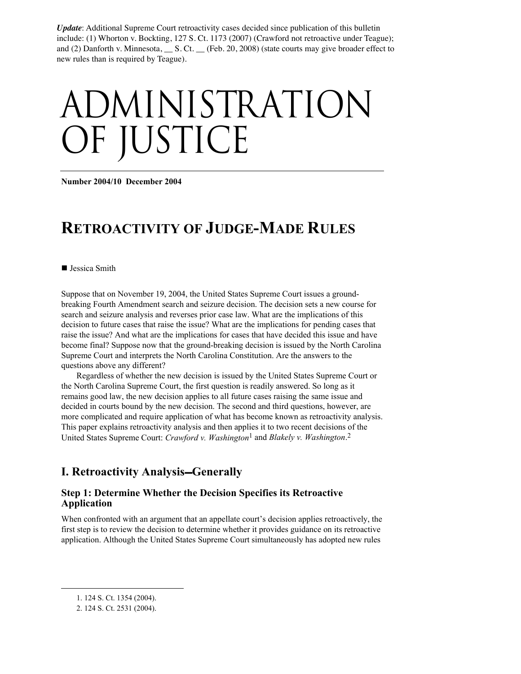*Update*: Additional Supreme Court retroactivity cases decided since publication of this bulletin include: (1) Whorton v. Bockting, 127 S. Ct. 1173 (2007) (Crawford not retroactive under Teague); and (2) Danforth v. Minnesota, S. Ct. (Feb. 20, 2008) (state courts may give broader effect to new rules than is required by Teague).

# administration OF JUSTICE

**Number 2004/10 December 2004** 

# **RETROACTIVITY OF JUDGE-MADE RULES**

■ Jessica Smith

Suppose that on November 19, 2004, the United States Supreme Court issues a groundbreaking Fourth Amendment search and seizure decision. The decision sets a new course for search and seizure analysis and reverses prior case law. What are the implications of this decision to future cases that raise the issue? What are the implications for pending cases that raise the issue? And what are the implications for cases that have decided this issue and have become final? Suppose now that the ground-breaking decision is issued by the North Carolina Supreme Court and interprets the North Carolina Constitution. Are the answers to the questions above any different?

Regardless of whether the new decision is issued by the United States Supreme Court or the North Carolina Supreme Court, the first question is readily answered. So long as it remains good law, the new decision applies to all future cases raising the same issue and decided in courts bound by the new decision. The second and third questions, however, are more complicated and require application of what has become known as retroactivity analysis. This paper explains retroactivity analysis and then applies it to two recent decisions of the United States Supreme Court: *Crawford v. Washington*<sup>1</sup> and *Blakely v. Washington*. 2

# **I. Retroactivity Analysis–Generally**

#### **Step 1: Determine Whether the Decision Specifies its Retroactive Application**

When confronted with an argument that an appellate court's decision applies retroactively, the first step is to review the decision to determine whether it provides guidance on its retroactive application. Although the United States Supreme Court simultaneously has adopted new rules

 $\overline{a}$ 

<sup>1. 124</sup> S. Ct. 1354 (2004).

<sup>2. 124</sup> S. Ct. 2531 (2004).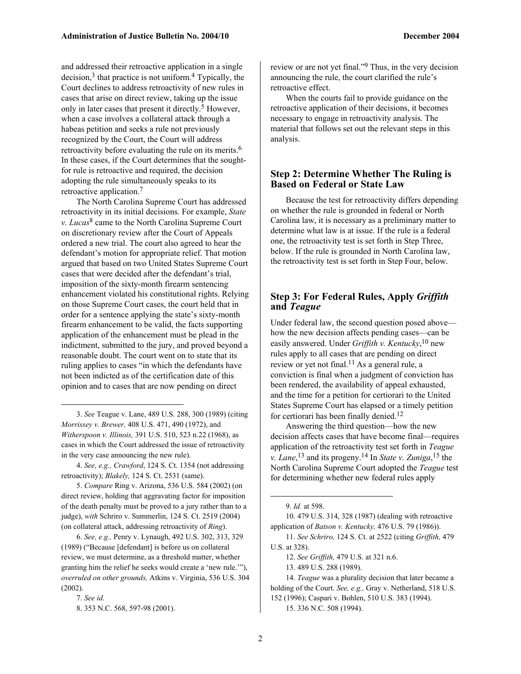and addressed their retroactive application in a single decision, $3$  that practice is not uniform.<sup>4</sup> Typically, the Court declines to address retroactivity of new rules in cases that arise on direct review, taking up the issue only in later cases that present it directly.5 However, when a case involves a collateral attack through a habeas petition and seeks a rule not previously recognized by the Court, the Court will address retroactivity before evaluating the rule on its merits.6 In these cases, if the Court determines that the soughtfor rule is retroactive and required, the decision adopting the rule simultaneously speaks to its retroactive application.7

The North Carolina Supreme Court has addressed retroactivity in its initial decisions. For example, *State v. Lucas*8 came to the North Carolina Supreme Court on discretionary review after the Court of Appeals ordered a new trial. The court also agreed to hear the defendant's motion for appropriate relief. That motion argued that based on two United States Supreme Court cases that were decided after the defendant's trial, imposition of the sixty-month firearm sentencing enhancement violated his constitutional rights. Relying on those Supreme Court cases, the court held that in order for a sentence applying the state's sixty-month firearm enhancement to be valid, the facts supporting application of the enhancement must be plead in the indictment, submitted to the jury, and proved beyond a reasonable doubt. The court went on to state that its ruling applies to cases "in which the defendants have not been indicted as of the certification date of this opinion and to cases that are now pending on direct

3. *See* Teague v. Lane, 489 U.S. 288, 300 (1989) (citing *Morrissey v. Brewer,* 408 U.S. 471, 490 (1972), and *Witherspoon v. Illinois,* 391 U.S. 510, 523 n.22 (1968), as cases in which the Court addressed the issue of retroactivity in the very case announcing the new rule).

4. *See, e.g., Crawford*, 124 S. Ct. 1354 (not addressing retroactivity); *Blakely,* 124 S. Ct. 2531 (same).

5. *Compare* Ring v. Arizona, 536 U.S. 584 (2002) (on direct review, holding that aggravating factor for imposition of the death penalty must be proved to a jury rather than to a judge), *with* Schriro v. Summerlin, 124 S. Ct. 2519 (2004) (on collateral attack, addressing retroactivity of *Ring*).

6. *See, e.g.,* Penry v. Lynaugh, 492 U.S. 302, 313, 329 (1989) ("Because [defendant] is before us on collateral review, we must determine, as a threshold matter, whether granting him the relief he seeks would create a 'new rule.'"), *overruled on other grounds,* Atkins v. Virginia, 536 U.S. 304 (2002).

1

review or are not yet final."9 Thus, in the very decision announcing the rule, the court clarified the rule's retroactive effect.

When the courts fail to provide guidance on the retroactive application of their decisions, it becomes necessary to engage in retroactivity analysis. The material that follows set out the relevant steps in this analysis.

#### **Step 2: Determine Whether The Ruling is Based on Federal or State Law**

Because the test for retroactivity differs depending on whether the rule is grounded in federal or North Carolina law, it is necessary as a preliminary matter to determine what law is at issue. If the rule is a federal one, the retroactivity test is set forth in Step Three, below. If the rule is grounded in North Carolina law, the retroactivity test is set forth in Step Four, below.

#### **Step 3: For Federal Rules, Apply** *Griffith*  **and** *Teague*

Under federal law, the second question posed above how the new decision affects pending cases—can be easily answered. Under *Griffith v. Kentucky*, 10 new rules apply to all cases that are pending on direct review or yet not final.<sup>11</sup> As a general rule, a conviction is final when a judgment of conviction has been rendered, the availability of appeal exhausted, and the time for a petition for certiorari to the United States Supreme Court has elapsed or a timely petition for certiorari has been finally denied.12

Answering the third question—how the new decision affects cases that have become final—requires application of the retroactivity test set forth in *Teague v. Lane*, 13 and its progeny.14 In *State v. Zuniga*, 15 the North Carolina Supreme Court adopted the *Teague* test for determining whether new federal rules apply

 $\overline{a}$ 

10. 479 U.S. 314, 328 (1987) (dealing with retroactive application of *Batson v. Kentucky,* 476 U.S. 79 (1986)).

11. *See Schriro,* 124 S. Ct. at 2522 (citing *Griffith,* 479 U.S. at 328).

12. *See Griffith,* 479 U.S. at 321 n.6.

13. 489 U.S. 288 (1989).

14. *Teague* was a plurality decision that later became a holding of the Court. *See, e.g.,* Gray v. Netherland, 518 U.S. 152 (1996); Caspari v. Bohlen, 510 U.S. 383 (1994).

15. 336 N.C. 508 (1994).

<sup>7.</sup> *See id.*

<sup>8. 353</sup> N.C. 568, 597-98 (2001).

<sup>9.</sup> *Id.* at 598.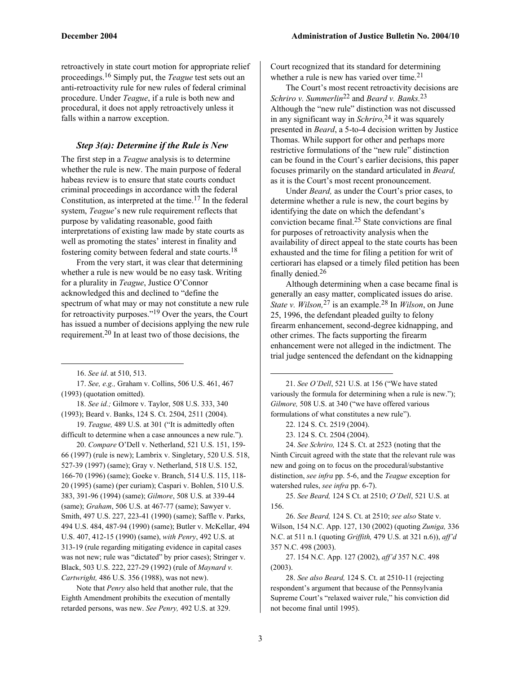retroactively in state court motion for appropriate relief proceedings.16 Simply put, the *Teague* test sets out an anti-retroactivity rule for new rules of federal criminal procedure. Under *Teague*, if a rule is both new and procedural, it does not apply retroactively unless it falls within a narrow exception.

#### *Step 3(a): Determine if the Rule is New*

The first step in a *Teague* analysis is to determine whether the rule is new. The main purpose of federal habeas review is to ensure that state courts conduct criminal proceedings in accordance with the federal Constitution, as interpreted at the time.17 In the federal system, *Teague*'s new rule requirement reflects that purpose by validating reasonable, good faith interpretations of existing law made by state courts as well as promoting the states' interest in finality and fostering comity between federal and state courts.18

From the very start, it was clear that determining whether a rule is new would be no easy task. Writing for a plurality in *Teague*, Justice O'Connor acknowledged this and declined to "define the spectrum of what may or may not constitute a new rule for retroactivity purposes."19 Over the years, the Court has issued a number of decisions applying the new rule requirement.20 In at least two of those decisions, the

16. *See id*. at 510, 513.

1

17. *See, e.g.,* Graham v. Collins, 506 U.S. 461, 467 (1993) (quotation omitted).

18. *See id.;* Gilmore v. Taylor, 508 U.S. 333, 340 (1993); Beard v. Banks, 124 S. Ct. 2504, 2511 (2004).

19. *Teague,* 489 U.S. at 301 ("It is admittedly often difficult to determine when a case announces a new rule.").

20. *Compare* O'Dell v. Netherland, 521 U.S. 151, 159- 66 (1997) (rule is new); Lambrix v. Singletary, 520 U.S. 518, 527-39 (1997) (same); Gray v. Netherland, 518 U.S. 152, 166-70 (1996) (same); Goeke v. Branch, 514 U.S. 115, 118- 20 (1995) (same) (per curiam); Caspari v. Bohlen, 510 U.S. 383, 391-96 (1994) (same); *Gilmore*, 508 U.S. at 339-44 (same); *Graham*, 506 U.S. at 467-77 (same); Sawyer v. Smith, 497 U.S. 227, 223-41 (1990) (same); Saffle v. Parks, 494 U.S. 484, 487-94 (1990) (same); Butler v. McKellar, 494 U.S. 407, 412-15 (1990) (same), *with Penry*, 492 U.S. at 313-19 (rule regarding mitigating evidence in capital cases was not new; rule was "dictated" by prior cases); Stringer v. Black, 503 U.S. 222, 227-29 (1992) (rule of *Maynard v. Cartwright,* 486 U.S. 356 (1988), was not new).

Note that *Penry* also held that another rule, that the Eighth Amendment prohibits the execution of mentally retarded persons, was new. *See Penry,* 492 U.S. at 329.

Court recognized that its standard for determining whether a rule is new has varied over time.<sup>21</sup>

The Court's most recent retroactivity decisions are *Schriro v. Summerlin*22 and *Beard v. Banks.*23 Although the "new rule" distinction was not discussed in any significant way in *Schriro,*24 it was squarely presented in *Beard*, a 5-to-4 decision written by Justice Thomas. While support for other and perhaps more restrictive formulations of the "new rule" distinction can be found in the Court's earlier decisions, this paper focuses primarily on the standard articulated in *Beard,*  as it is the Court's most recent pronouncement.

Under *Beard,* as under the Court's prior cases, to determine whether a rule is new, the court begins by identifying the date on which the defendant's conviction became final.25 State convictions are final for purposes of retroactivity analysis when the availability of direct appeal to the state courts has been exhausted and the time for filing a petition for writ of certiorari has elapsed or a timely filed petition has been finally denied.26

Although determining when a case became final is generally an easy matter, complicated issues do arise. *State v. Wilson,*27 is an example.28 In *Wilson*, on June 25, 1996, the defendant pleaded guilty to felony firearm enhancement, second-degree kidnapping, and other crimes. The facts supporting the firearm enhancement were not alleged in the indictment. The trial judge sentenced the defendant on the kidnapping

21. *See O'Dell*, 521 U.S. at 156 ("We have stated variously the formula for determining when a rule is new."); *Gilmore,* 508 U.S. at 340 ("we have offered various formulations of what constitutes a new rule").

22. 124 S. Ct. 2519 (2004).

23. 124 S. Ct. 2504 (2004).

24. *See Schriro,* 124 S. Ct. at 2523 (noting that the Ninth Circuit agreed with the state that the relevant rule was new and going on to focus on the procedural/substantive distinction, *see infra* pp. 5-6, and the *Teague* exception for watershed rules, *see infra* pp. 6-7).

25. *See Beard,* 124 S Ct. at 2510; *O'Dell*, 521 U.S. at 156.

26. *See Beard,* 124 S. Ct. at 2510; *see also* State v. Wilson, 154 N.C. App. 127, 130 (2002) (quoting *Zuniga,* 336 N.C. at 511 n.1 (quoting *Griffith,* 479 U.S. at 321 n.6)), *aff'd*  357 N.C. 498 (2003).

27. 154 N.C. App. 127 (2002), *aff'd* 357 N.C. 498 (2003).

28. *See also Beard,* 124 S. Ct. at 2510-11 (rejecting respondent's argument that because of the Pennsylvania Supreme Court's "relaxed waiver rule," his conviction did not become final until 1995).

1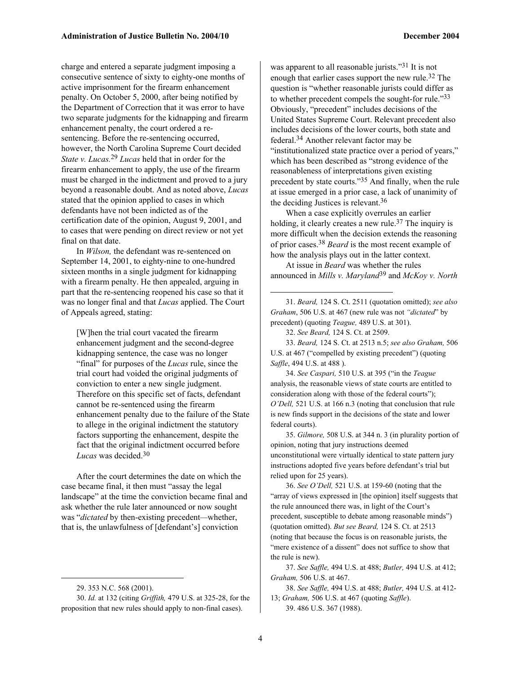charge and entered a separate judgment imposing a consecutive sentence of sixty to eighty-one months of active imprisonment for the firearm enhancement penalty. On October 5, 2000, after being notified by the Department of Correction that it was error to have two separate judgments for the kidnapping and firearm enhancement penalty, the court ordered a resentencing. Before the re-sentencing occurred, however, the North Carolina Supreme Court decided *State v. Lucas.*29 *Lucas* held that in order for the firearm enhancement to apply, the use of the firearm must be charged in the indictment and proved to a jury beyond a reasonable doubt. And as noted above, *Lucas*  stated that the opinion applied to cases in which defendants have not been indicted as of the certification date of the opinion, August 9, 2001, and to cases that were pending on direct review or not yet final on that date.

In *Wilson,* the defendant was re-sentenced on September 14, 2001, to eighty-nine to one-hundred sixteen months in a single judgment for kidnapping with a firearm penalty. He then appealed, arguing in part that the re-sentencing reopened his case so that it was no longer final and that *Lucas* applied. The Court of Appeals agreed, stating:

[W]hen the trial court vacated the firearm enhancement judgment and the second-degree kidnapping sentence, the case was no longer "final" for purposes of the *Lucas* rule, since the trial court had voided the original judgments of conviction to enter a new single judgment. Therefore on this specific set of facts, defendant cannot be re-sentenced using the firearm enhancement penalty due to the failure of the State to allege in the original indictment the statutory factors supporting the enhancement, despite the fact that the original indictment occurred before *Lucas* was decided.30

After the court determines the date on which the case became final, it then must "assay the legal landscape" at the time the conviction became final and ask whether the rule later announced or now sought was "*dictated* by then-existing precedent*—*whether, that is, the unlawfulness of [defendant's] conviction

 $\overline{a}$ 

was apparent to all reasonable jurists."<sup>31</sup> It is not enough that earlier cases support the new rule.32 The question is "whether reasonable jurists could differ as to whether precedent compels the sought-for rule."33 Obviously, "precedent" includes decisions of the United States Supreme Court. Relevant precedent also includes decisions of the lower courts, both state and federal.34 Another relevant factor may be "institutionalized state practice over a period of years," which has been described as "strong evidence of the reasonableness of interpretations given existing precedent by state courts."35 And finally, when the rule at issue emerged in a prior case, a lack of unanimity of the deciding Justices is relevant.36

When a case explicitly overrules an earlier holding, it clearly creates a new rule.<sup>37</sup> The inquiry is more difficult when the decision extends the reasoning of prior cases.38 *Beard* is the most recent example of how the analysis plays out in the latter context.

At issue in *Beard* was whether the rules announced in *Mills v. Maryland*39 and *McKoy v. North* 

31. *Beard,* 124 S. Ct. 2511 (quotation omitted); *see also Graham*, 506 U.S. at 467 (new rule was not *"dictated*" by precedent) (quoting *Teague,* 489 U.S. at 301).

32. *See Beard,* 124 S. Ct. at 2509.

 $\overline{a}$ 

33. *Beard,* 124 S. Ct. at 2513 n.5; *see also Graham,* 506 U.S. at 467 ("compelled by existing precedent") (quoting *Saffle*, 494 U.S. at 488 ).

34. *See Caspari,* 510 U.S. at 395 ("in the *Teague*  analysis, the reasonable views of state courts are entitled to consideration along with those of the federal courts"); *O'Dell,* 521 U.S. at 166 n.3 (noting that conclusion that rule is new finds support in the decisions of the state and lower federal courts).

35. *Gilmore,* 508 U.S. at 344 n. 3 (in plurality portion of opinion, noting that jury instructions deemed unconstitutional were virtually identical to state pattern jury instructions adopted five years before defendant's trial but relied upon for 25 years).

36. *See O'Dell,* 521 U.S. at 159-60 (noting that the "array of views expressed in [the opinion] itself suggests that the rule announced there was, in light of the Court's precedent, susceptible to debate among reasonable minds") (quotation omitted). *But see Beard,* 124 S. Ct. at 2513 (noting that because the focus is on reasonable jurists, the "mere existence of a dissent" does not suffice to show that the rule is new).

37. *See Saffle,* 494 U.S. at 488; *Butler,* 494 U.S. at 412; *Graham,* 506 U.S. at 467.

38. *See Saffle,* 494 U.S. at 488; *Butler,* 494 U.S. at 412- 13; *Graham,* 506 U.S. at 467 (quoting *Saffle*). 39. 486 U.S. 367 (1988).

<sup>29. 353</sup> N.C. 568 (2001).

<sup>30.</sup> *Id.* at 132 (citing *Griffith,* 479 U.S. at 325-28, for the proposition that new rules should apply to non-final cases).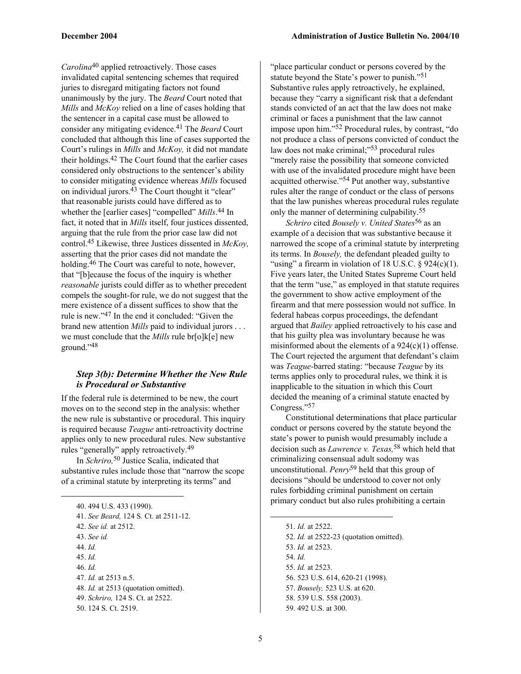*Carolina*40 applied retroactively. Those cases invalidated capital sentencing schemes that required juries to disregard mitigating factors not found unanimously by the jury. The *Beard* Court noted that *Mills* and *McKoy* relied on a line of cases holding that the sentencer in a capital case must be allowed to consider any mitigating evidence.41 The *Beard* Court concluded that although this line of cases supported the Court's rulings in *Mills* and *McKoy,* it did not mandate their holdings.42 The Court found that the earlier cases considered only obstructions to the sentencer's ability to consider mitigating evidence whereas *Mills* focused on individual jurors.43 The Court thought it "clear" that reasonable jurists could have differed as to whether the [earlier cases] "compelled" *Mills*. 44 In fact, it noted that in *Mills* itself, four justices dissented, arguing that the rule from the prior case law did not control.45 Likewise, three Justices dissented in *McKoy,* asserting that the prior cases did not mandate the holding.<sup>46</sup> The Court was careful to note, however, that "[b]ecause the focus of the inquiry is whether *reasonable* jurists could differ as to whether precedent compels the sought-for rule, we do not suggest that the mere existence of a dissent suffices to show that the rule is new."47 In the end it concluded: "Given the brand new attention *Mills* paid to individual jurors . . . we must conclude that the *Mills* rule br[o]k[e] new ground."48

#### *Step 3(b): Determine Whether the New Rule is Procedural or Substantive*

If the federal rule is determined to be new, the court moves on to the second step in the analysis: whether the new rule is substantive or procedural. This inquiry is required because *Teague* anti-retroactivity doctrine applies only to new procedural rules. New substantive rules "generally" apply retroactively.49

In *Schriro,*50 Justice Scalia, indicated that substantive rules include those that "narrow the scope of a criminal statute by interpreting its terms" and

| 40.494 U.S.433 (1990).                      |
|---------------------------------------------|
| 41. See Beard, 124 S. Ct. at 2511-12.       |
| 42. See id. at 2512.                        |
| 43. See id.                                 |
| $44$ , $Id$                                 |
| 45.1d.                                      |
| 46.1d.                                      |
| 47. <i>Id.</i> at 2513 n.5.                 |
| 48. <i>Id.</i> at 2513 (quotation omitted). |
| 49. Schriro, 124 S. Ct. at 2522.            |
| 50. 124 S. Ct. 2519.                        |

1

"place particular conduct or persons covered by the statute beyond the State's power to punish."51 Substantive rules apply retroactively, he explained, because they "carry a significant risk that a defendant stands convicted of an act that the law does not make criminal or faces a punishment that the law cannot impose upon him."52 Procedural rules, by contrast, "do not produce a class of persons convicted of conduct the law does not make criminal;"53 procedural rules "merely raise the possibility that someone convicted with use of the invalidated procedure might have been acquitted otherwise."54 Put another way, substantive rules alter the range of conduct or the class of persons that the law punishes whereas procedural rules regulate only the manner of determining culpability.55

*Schriro* cited *Bousely v. United States*56 as an example of a decision that was substantive because it narrowed the scope of a criminal statute by interpreting its terms. In *Bousely,* the defendant pleaded guilty to "using" a firearm in violation of 18 U.S.C.  $\S$  924(c)(1). Five years later, the United States Supreme Court held that the term "use," as employed in that statute requires the government to show active employment of the firearm and that mere possession would not suffice. In federal habeas corpus proceedings, the defendant argued that *Bailey* applied retroactively to his case and that his guilty plea was involuntary because he was misinformed about the elements of a 924(c)(1) offense. The Court rejected the argument that defendant's claim was *Teague-*barred stating: "because *Teague* by its terms applies only to procedural rules, we think it is inapplicable to the situation in which this Court decided the meaning of a criminal statute enacted by Congress."57

Constitutional determinations that place particular conduct or persons covered by the statute beyond the state's power to punish would presumably include a decision such as *Lawrence v. Texas,*58 which held that criminalizing consensual adult sodomy was unconstitutional. *Penry*59 held that this group of decisions "should be understood to cover not only rules forbidding criminal punishment on certain primary conduct but also rules prohibiting a certain

51. *Id.* at 2522. 52. *Id.* at 2522-23 (quotation omitted). 53. *Id.* at 2523. 54. *Id.* 55. *Id.* at 2523. 56. 523 U.S. 614, 620-21 (1998). 57. *Bousely,* 523 U.S. at 620. 58. 539 U.S. 558 (2003). 59. 492 U.S. at 300.

1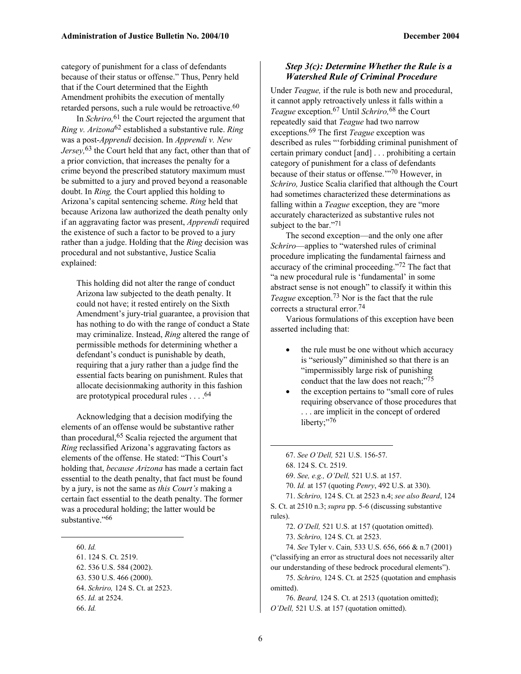category of punishment for a class of defendants because of their status or offense." Thus, Penry held that if the Court determined that the Eighth Amendment prohibits the execution of mentally retarded persons, such a rule would be retroactive.<sup>60</sup>

In *Schriro,*61 the Court rejected the argument that *Ring v. Arizona*62 established a substantive rule. *Ring*  was a post-*Apprendi* decision. In *Apprendi v. New Jersey,*63 the Court held that any fact, other than that of a prior conviction, that increases the penalty for a crime beyond the prescribed statutory maximum must be submitted to a jury and proved beyond a reasonable doubt. In *Ring,* the Court applied this holding to Arizona's capital sentencing scheme. *Ring* held that because Arizona law authorized the death penalty only if an aggravating factor was present, *Apprendi* required the existence of such a factor to be proved to a jury rather than a judge. Holding that the *Ring* decision was procedural and not substantive, Justice Scalia explained:

This holding did not alter the range of conduct Arizona law subjected to the death penalty. It could not have; it rested entirely on the Sixth Amendment's jury-trial guarantee, a provision that has nothing to do with the range of conduct a State may criminalize. Instead, *Ring* altered the range of permissible methods for determining whether a defendant's conduct is punishable by death, requiring that a jury rather than a judge find the essential facts bearing on punishment. Rules that allocate decisionmaking authority in this fashion are prototypical procedural rules . . . .64

Acknowledging that a decision modifying the elements of an offense would be substantive rather than procedural,65 Scalia rejected the argument that *Ring* reclassified Arizona's aggravating factors as elements of the offense. He stated: "This Court's holding that, *because Arizona* has made a certain fact essential to the death penalty, that fact must be found by a jury, is not the same as *this Court's* making a certain fact essential to the death penalty. The former was a procedural holding; the latter would be substantive."<sup>66</sup>

 $\overline{a}$ 

#### *Step 3(c): Determine Whether the Rule is a Watershed Rule of Criminal Procedure*

Under *Teague,* if the rule is both new and procedural, it cannot apply retroactively unless it falls within a *Teague* exception.67 Until *Schriro,*68 the Court repeatedly said that *Teague* had two narrow exceptions.69 The first *Teague* exception was described as rules "'forbidding criminal punishment of certain primary conduct [and] . . . prohibiting a certain category of punishment for a class of defendants because of their status or offense.'"70 However, in *Schriro,* Justice Scalia clarified that although the Court had sometimes characterized these determinations as falling within a *Teague* exception, they are "more accurately characterized as substantive rules not subject to the bar."<sup>71</sup>

The second exception—and the only one after *Schriro*—applies to "watershed rules of criminal procedure implicating the fundamental fairness and accuracy of the criminal proceeding."72 The fact that "a new procedural rule is 'fundamental' in some abstract sense is not enough" to classify it within this *Teague* exception.73 Nor is the fact that the rule corrects a structural error.74

Various formulations of this exception have been asserted including that:

- the rule must be one without which accuracy is "seriously" diminished so that there is an "impermissibly large risk of punishing conduct that the law does not reach;"75
- the exception pertains to "small core of rules" requiring observance of those procedures that . . . are implicit in the concept of ordered liberty;"76

1

73. *Schriro,* 124 S. Ct. at 2523.

74. *See* Tyler v. Cain*,* 533 U.S. 656, 666 & n.7 (2001) ("classifying an error as structural does not necessarily alter our understanding of these bedrock procedural elements").

75. *Schriro,* 124 S. Ct. at 2525 (quotation and emphasis omitted).

<sup>60.</sup> *Id.*

<sup>61. 124</sup> S. Ct. 2519.

<sup>62. 536</sup> U.S. 584 (2002).

<sup>63. 530</sup> U.S. 466 (2000).

<sup>64.</sup> *Schriro,* 124 S. Ct. at 2523.

<sup>65.</sup> *Id.* at 2524.

<sup>66.</sup> *Id.*

<sup>67.</sup> *See O'Dell,* 521 U.S. 156-57.

<sup>68. 124</sup> S. Ct. 2519.

<sup>69.</sup> *See, e.g., O'Dell,* 521 U.S. at 157.

<sup>70.</sup> *Id.* at 157 (quoting *Penry*, 492 U.S. at 330).

<sup>71.</sup> *Schriro,* 124 S. Ct. at 2523 n.4; *see also Beard*, 124 S. Ct. at 2510 n.3; *supra* pp. 5-6 (discussing substantive rules).

<sup>72.</sup> *O'Dell,* 521 U.S. at 157 (quotation omitted).

<sup>76.</sup> *Beard,* 124 S. Ct. at 2513 (quotation omitted); *O'Dell,* 521 U.S. at 157 (quotation omitted).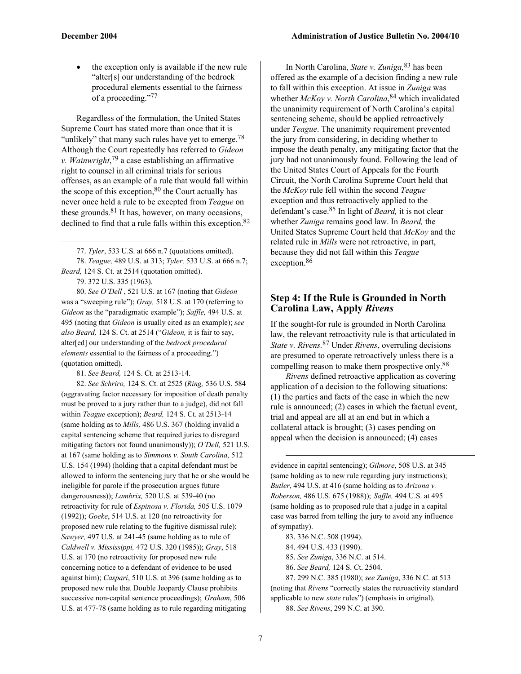the exception only is available if the new rule "alter[s] our understanding of the bedrock procedural elements essential to the fairness of a proceeding."77

Regardless of the formulation, the United States Supreme Court has stated more than once that it is "unlikely" that many such rules have yet to emerge.<sup>78</sup> Although the Court repeatedly has referred to *Gideon v. Wainwright*, 79 a case establishing an affirmative right to counsel in all criminal trials for serious offenses, as an example of a rule that would fall within the scope of this exception, $80$  the Court actually has never once held a rule to be excepted from *Teague* on these grounds. $81$  It has, however, on many occasions, declined to find that a rule falls within this exception.<sup>82</sup>

79. 372 U.S. 335 (1963).

1

80. *See O'Dell* , 521 U.S. at 167 (noting that *Gideon* was a "sweeping rule"); *Gray,* 518 U.S. at 170 (referring to *Gideon* as the "paradigmatic example"); *Saffle,* 494 U.S. at 495 (noting that *Gideon* is usually cited as an example); *see also Beard,* 124 S. Ct. at 2514 ("*Gideon,* it is fair to say, alter[ed] our understanding of the *bedrock procedural elements* essential to the fairness of a proceeding.") (quotation omitted).

81. *See Beard,* 124 S. Ct. at 2513-14.

82. *See Schriro,* 124 S. Ct. at 2525 (*Ring,* 536 U.S. 584 (aggravating factor necessary for imposition of death penalty must be proved to a jury rather than to a judge), did not fall within *Teague* exception); *Beard,* 124 S. Ct. at 2513-14 (same holding as to *Mills,* 486 U.S. 367 (holding invalid a capital sentencing scheme that required juries to disregard mitigating factors not found unanimously)); *O'Dell,* 521 U.S. at 167 (same holding as to *Simmons v. South Carolina,* 512 U.S. 154 (1994) (holding that a capital defendant must be allowed to inform the sentencing jury that he or she would be ineligible for parole if the prosecution argues future dangerousness)); *Lambrix,* 520 U.S. at 539-40 (no retroactivity for rule of *Espinosa v. Florida,* 505 U.S. 1079 (1992)); *Goeke*, 514 U.S. at 120 (no retroactivity for proposed new rule relating to the fugitive dismissal rule); *Sawyer,* 497 U.S. at 241-45 (same holding as to rule of *Caldwell v. Mississippi,* 472 U.S. 320 (1985)); *Gray*, 518 U.S. at 170 (no retroactivity for proposed new rule concerning notice to a defendant of evidence to be used against him); *Caspari*, 510 U.S. at 396 (same holding as to proposed new rule that Double Jeopardy Clause prohibits successive non-capital sentence proceedings); *Graham*, 506 U.S. at 477-78 (same holding as to rule regarding mitigating

In North Carolina, *State v. Zuniga,*83 has been offered as the example of a decision finding a new rule to fall within this exception. At issue in *Zuniga* was whether *McKoy v. North Carolina*, 84 which invalidated the unanimity requirement of North Carolina's capital sentencing scheme, should be applied retroactively under *Teague*. The unanimity requirement prevented the jury from considering, in deciding whether to impose the death penalty, any mitigating factor that the jury had not unanimously found. Following the lead of the United States Court of Appeals for the Fourth Circuit, the North Carolina Supreme Court held that the *McKoy* rule fell within the second *Teague* exception and thus retroactively applied to the defendant's case.85 In light of *Beard,* it is not clear whether *Zuniga* remains good law. In *Beard,* the United States Supreme Court held that *McKoy* and the related rule in *Mills* were not retroactive, in part, because they did not fall within this *Teague*  exception.86

### **Step 4: If the Rule is Grounded in North Carolina Law, Apply** *Rivens*

If the sought-for rule is grounded in North Carolina law, the relevant retroactivity rule is that articulated in *State v. Rivens.*87 Under *Rivens*, overruling decisions are presumed to operate retroactively unless there is a compelling reason to make them prospective only.88

*Rivens* defined retroactive application as covering application of a decision to the following situations: (1) the parties and facts of the case in which the new rule is announced; (2) cases in which the factual event, trial and appeal are all at an end but in which a collateral attack is brought; (3) cases pending on appeal when the decision is announced; (4) cases

evidence in capital sentencing); *Gilmore*, 508 U.S. at 345 (same holding as to new rule regarding jury instructions); *Butler*, 494 U.S. at 416 (same holding as to *Arizona v. Roberson,* 486 U.S. 675 (1988)); *Saffle,* 494 U.S. at 495 (same holding as to proposed rule that a judge in a capital case was barred from telling the jury to avoid any influence of sympathy).

83. 336 N.C. 508 (1994). 84. 494 U.S. 433 (1990).

1

85. *See Zuniga*, 336 N.C. at 514.

86. *See Beard,* 124 S. Ct. 2504.

87. 299 N.C. 385 (1980); *see Zuniga*, 336 N.C. at 513 (noting that *Rivens* "correctly states the retroactivity standard applicable to new *state* rules") (emphasis in original).

88. *See Rivens*, 299 N.C. at 390.

<sup>77.</sup> *Tyler*, 533 U.S. at 666 n.7 (quotations omitted). 78. *Teague,* 489 U.S. at 313; *Tyler,* 533 U.S. at 666 n.7; *Beard,* 124 S. Ct. at 2514 (quotation omitted).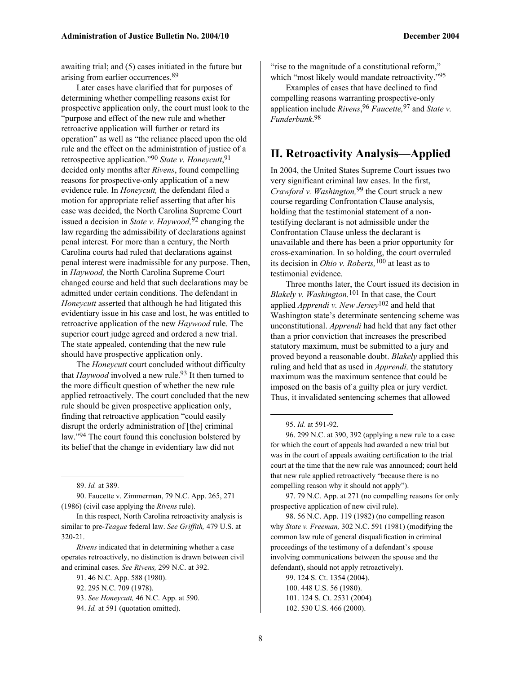awaiting trial; and (5) cases initiated in the future but arising from earlier occurrences.89

Later cases have clarified that for purposes of determining whether compelling reasons exist for prospective application only, the court must look to the "purpose and effect of the new rule and whether retroactive application will further or retard its operation" as well as "the reliance placed upon the old rule and the effect on the administration of justice of a retrospective application."90 *State v. Honeycutt*, 91 decided only months after *Rivens*, found compelling reasons for prospective-only application of a new evidence rule. In *Honeycutt,* the defendant filed a motion for appropriate relief asserting that after his case was decided, the North Carolina Supreme Court issued a decision in *State v. Haywood,*92 changing the law regarding the admissibility of declarations against penal interest. For more than a century, the North Carolina courts had ruled that declarations against penal interest were inadmissible for any purpose. Then, in *Haywood,* the North Carolina Supreme Court changed course and held that such declarations may be admitted under certain conditions. The defendant in *Honeycutt* asserted that although he had litigated this evidentiary issue in his case and lost, he was entitled to retroactive application of the new *Haywood* rule. The superior court judge agreed and ordered a new trial. The state appealed, contending that the new rule should have prospective application only.

The *Honeycutt* court concluded without difficulty that *Haywood* involved a new rule.<sup>93</sup> It then turned to the more difficult question of whether the new rule applied retroactively. The court concluded that the new rule should be given prospective application only, finding that retroactive application "could easily disrupt the orderly administration of [the] criminal law."94 The court found this conclusion bolstered by its belief that the change in evidentiary law did not

89. *Id.* at 389.

 $\overline{a}$ 

90. Faucette v. Zimmerman, 79 N.C. App. 265, 271 (1986) (civil case applying the *Rivens* rule).

In this respect, North Carolina retroactivity analysis is similar to pre-*Teague* federal law. *See Griffith,* 479 U.S. at 320-21.

*Rivens* indicated that in determining whether a case operates retroactively, no distinction is drawn between civil and criminal cases. *See Rivens,* 299 N.C. at 392.

91. 46 N.C. App. 588 (1980).

"rise to the magnitude of a constitutional reform," which "most likely would mandate retroactivity."<sup>95</sup>

Examples of cases that have declined to find compelling reasons warranting prospective-only application include *Rivens*, 96 *Faucette,*97 and *State v. Funderbunk*. 98

## **II. Retroactivity Analysis—Applied**

In 2004, the United States Supreme Court issues two very significant criminal law cases. In the first, *Crawford v. Washington,*99 the Court struck a new course regarding Confrontation Clause analysis, holding that the testimonial statement of a nontestifying declarant is not admissible under the Confrontation Clause unless the declarant is unavailable and there has been a prior opportunity for cross-examination. In so holding, the court overruled its decision in *Ohio v. Roberts,*100 at least as to testimonial evidence.

Three months later, the Court issued its decision in *Blakely v. Washington.*101 In that case, the Court applied *Apprendi v. New Jersey*102 and held that Washington state's determinate sentencing scheme was unconstitutional. *Apprendi* had held that any fact other than a prior conviction that increases the prescribed statutory maximum, must be submitted to a jury and proved beyond a reasonable doubt. *Blakely* applied this ruling and held that as used in *Apprendi,* the statutory maximum was the maximum sentence that could be imposed on the basis of a guilty plea or jury verdict. Thus, it invalidated sentencing schemes that allowed

1

96. 299 N.C. at 390, 392 (applying a new rule to a case for which the court of appeals had awarded a new trial but was in the court of appeals awaiting certification to the trial court at the time that the new rule was announced; court held that new rule applied retroactively "because there is no compelling reason why it should not apply").

97. 79 N.C. App. at 271 (no compelling reasons for only prospective application of new civil rule).

98. 56 N.C. App. 119 (1982) (no compelling reason why *State v. Freeman,* 302 N.C. 591 (1981) (modifying the common law rule of general disqualification in criminal proceedings of the testimony of a defendant's spouse involving communications between the spouse and the defendant), should not apply retroactively).

99. 124 S. Ct. 1354 (2004). 100. 448 U.S. 56 (1980). 101. 124 S. Ct. 2531 (2004)*.* 102. 530 U.S. 466 (2000).

<sup>92. 295</sup> N.C. 709 (1978).

<sup>93.</sup> *See Honeycutt,* 46 N.C. App. at 590.

<sup>94.</sup> *Id.* at 591 (quotation omitted).

<sup>95.</sup> *Id.* at 591-92.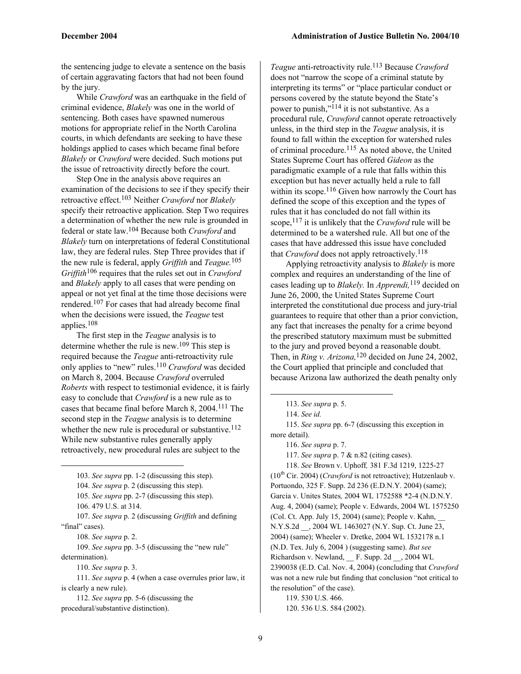the sentencing judge to elevate a sentence on the basis of certain aggravating factors that had not been found by the jury.

While *Crawford* was an earthquake in the field of criminal evidence, *Blakely* was one in the world of sentencing. Both cases have spawned numerous motions for appropriate relief in the North Carolina courts, in which defendants are seeking to have these holdings applied to cases which became final before *Blakely* or *Crawford* were decided. Such motions put the issue of retroactivity directly before the court.

Step One in the analysis above requires an examination of the decisions to see if they specify their retroactive effect.103 Neither *Crawford* nor *Blakely*  specify their retroactive application. Step Two requires a determination of whether the new rule is grounded in federal or state law.104 Because both *Crawford* and *Blakely* turn on interpretations of federal Constitutional law, they are federal rules. Step Three provides that if the new rule is federal, apply *Griffith* and *Teague.*105 *Griffith*106 requires that the rules set out in *Crawford*  and *Blakely* apply to all cases that were pending on appeal or not yet final at the time those decisions were rendered.107 For cases that had already become final when the decisions were issued, the *Teague* test applies.108

The first step in the *Teague* analysis is to determine whether the rule is new.109 This step is required because the *Teague* anti-retroactivity rule only applies to "new" rules.110 *Crawford* was decided on March 8, 2004. Because *Crawford* overruled *Roberts* with respect to testimonial evidence, it is fairly easy to conclude that *Crawford* is a new rule as to cases that became final before March 8, 2004.111 The second step in the *Teague* analysis is to determine whether the new rule is procedural or substantive.<sup>112</sup> While new substantive rules generally apply retroactively, new procedural rules are subject to the

103. *See supra* pp. 1-2 (discussing this step).

104. *See supra* p. 2 (discussing this step).

105. *See supra* pp. 2-7 (discussing this step).

106. 479 U.S. at 314.

1

107. *See supra* p. 2 (discussing *Griffith* and defining "final" cases).

108. *See supra* p. 2.

109. *See supra* pp. 3-5 (discussing the "new rule" determination).

110. *See supra* p. 3.

111. *See supra* p. 4 (when a case overrules prior law, it is clearly a new rule).

112. *See supra* pp. 5-6 (discussing the procedural/substantive distinction).

*Teague* anti-retroactivity rule.113 Because *Crawford*  does not "narrow the scope of a criminal statute by interpreting its terms" or "place particular conduct or persons covered by the statute beyond the State's power to punish,"114 it is not substantive. As a procedural rule, *Crawford* cannot operate retroactively unless, in the third step in the *Teague* analysis, it is found to fall within the exception for watershed rules of criminal procedure.<sup>115</sup> As noted above, the United States Supreme Court has offered *Gideon* as the paradigmatic example of a rule that falls within this exception but has never actually held a rule to fall within its scope.<sup>116</sup> Given how narrowly the Court has defined the scope of this exception and the types of rules that it has concluded do not fall within its scope,117 it is unlikely that the *Crawford* rule will be determined to be a watershed rule. All but one of the cases that have addressed this issue have concluded that *Crawford* does not apply retroactively.<sup>118</sup>

Applying retroactivity analysis to *Blakely* is more complex and requires an understanding of the line of cases leading up to *Blakely.* In *Apprendi,*119 decided on June 26, 2000, the United States Supreme Court interpreted the constitutional due process and jury-trial guarantees to require that other than a prior conviction, any fact that increases the penalty for a crime beyond the prescribed statutory maximum must be submitted to the jury and proved beyond a reasonable doubt. Then, in *Ring v. Arizona,*120 decided on June 24, 2002, the Court applied that principle and concluded that because Arizona law authorized the death penalty only

1

115. *See supra* pp. 6-7 (discussing this exception in more detail).

116. *See supra* p. 7.

117. *See supra* p. 7 & n.82 (citing cases).

118. *See* Brown v. Uphoff*,* 381 F.3d 1219, 1225-27  $(10<sup>th</sup> Cir. 2004)$  (*Crawford* is not retroactive); Hutzenlaub v. Portuondo, 325 F. Supp. 2d 236 (E.D.N.Y. 2004) (same); Garcia v. Unites States*,* 2004 WL 1752588 \*2-4 (N.D.N.Y. Aug. 4, 2004) (same); People v. Edwards, 2004 WL 1575250 (Col. Ct. App. July  $15, 2004$ ) (same); People v. Kahn, N.Y.S.2d \_\_, 2004 WL 1463027 (N.Y. Sup. Ct. June 23, 2004) (same); Wheeler v. Dretke, 2004 WL 1532178 n.1 (N.D. Tex. July 6, 2004 ) (suggesting same). *But see*  Richardson v. Newland, \_\_ F. Supp. 2d \_\_, 2004 WL 2390038 (E.D. Cal. Nov. 4, 2004) (concluding that *Crawford*  was not a new rule but finding that conclusion "not critical to the resolution" of the case).

119. 530 U.S. 466. 120. 536 U.S. 584 (2002).

<sup>113.</sup> *See supra* p. 5.

<sup>114.</sup> *See id.*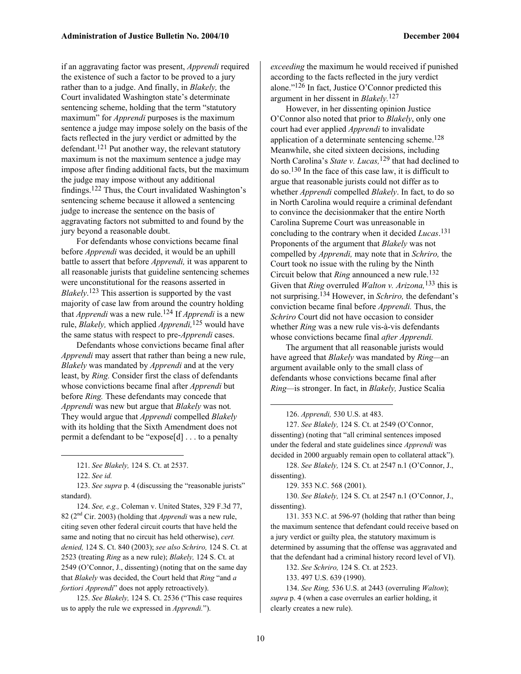if an aggravating factor was present, *Apprendi* required the existence of such a factor to be proved to a jury rather than to a judge. And finally, in *Blakely,* the Court invalidated Washington state's determinate sentencing scheme, holding that the term "statutory maximum" for *Apprendi* purposes is the maximum sentence a judge may impose solely on the basis of the facts reflected in the jury verdict or admitted by the defendant.<sup>121</sup> Put another way, the relevant statutory maximum is not the maximum sentence a judge may impose after finding additional facts, but the maximum the judge may impose without any additional findings.122 Thus, the Court invalidated Washington's sentencing scheme because it allowed a sentencing judge to increase the sentence on the basis of aggravating factors not submitted to and found by the jury beyond a reasonable doubt.

For defendants whose convictions became final before *Apprendi* was decided, it would be an uphill battle to assert that before *Apprendi,* it was apparent to all reasonable jurists that guideline sentencing schemes were unconstitutional for the reasons asserted in *Blakely*. 123 This assertion is supported by the vast majority of case law from around the country holding that *Apprendi* was a new rule.124 If *Apprendi* is a new rule, *Blakely,* which applied *Apprendi,*125 would have the same status with respect to pre-*Apprendi* cases.

Defendants whose convictions became final after *Apprendi* may assert that rather than being a new rule, *Blakely* was mandated by *Apprendi* and at the very least, by *Ring.* Consider first the class of defendants whose convictions became final after *Apprendi* but before *Ring.* These defendants may concede that *Apprendi* was new but argue that *Blakely* was not*.*  They would argue that *Apprendi* compelled *Blakely*  with its holding that the Sixth Amendment does not permit a defendant to be "expose[d] . . . to a penalty

1

123. *See supra* p. 4 (discussing the "reasonable jurists" standard).

124. *See, e.g.,* Coleman v. United States, 329 F.3d 77, 82 (2nd Cir. 2003) (holding that *Apprendi* was a new rule, citing seven other federal circuit courts that have held the same and noting that no circuit has held otherwise), *cert. denied,* 124 S. Ct. 840 (2003); *see also Schriro,* 124 S. Ct. at 2523 (treating *Ring* as a new rule); *Blakely,* 124 S. Ct. at 2549 (O'Connor, J., dissenting) (noting that on the same day that *Blakely* was decided, the Court held that *Ring* "and *a fortiori Apprendi*" does not apply retroactively).

125. *See Blakely,* 124 S. Ct. 2536 ("This case requires us to apply the rule we expressed in *Apprendi.*").

*exceeding* the maximum he would received if punished according to the facts reflected in the jury verdict alone." $126$  In fact, Justice O'Connor predicted this argument in her dissent in *Blakely.*127

However, in her dissenting opinion Justice O'Connor also noted that prior to *Blakely*, only one court had ever applied *Apprendi* to invalidate application of a determinate sentencing scheme.<sup>128</sup> Meanwhile, she cited sixteen decisions, including North Carolina's *State v. Lucas,*129 that had declined to do so.130 In the face of this case law, it is difficult to argue that reasonable jurists could not differ as to whether *Apprendi* compelled *Blakely*. In fact, to do so in North Carolina would require a criminal defendant to convince the decisionmaker that the entire North Carolina Supreme Court was unreasonable in concluding to the contrary when it decided *Lucas*. 131 Proponents of the argument that *Blakely* was not compelled by *Apprendi,* may note that in *Schriro,* the Court took no issue with the ruling by the Ninth Circuit below that *Ring* announced a new rule.132 Given that *Ring* overruled *Walton v. Arizona,*133 this is not surprising.134 However, in *Schriro,* the defendant's conviction became final before *Apprendi.* Thus, the *Schriro* Court did not have occasion to consider whether *Ring* was a new rule vis-à-vis defendants whose convictions became final *after Apprendi.*

The argument that all reasonable jurists would have agreed that *Blakely* was mandated by *Ring—*an argument available only to the small class of defendants whose convictions became final after *Ring—*is stronger. In fact, in *Blakely,* Justice Scalia

126. *Apprendi,* 530 U.S. at 483.

127. *See Blakely,* 124 S. Ct. at 2549 (O'Connor, dissenting) (noting that "all criminal sentences imposed under the federal and state guidelines since *Apprendi* was decided in 2000 arguably remain open to collateral attack").

128. *See Blakely,* 124 S. Ct. at 2547 n.1 (O'Connor, J., dissenting).

129. 353 N.C. 568 (2001).

130. *See Blakely,* 124 S. Ct. at 2547 n.1 (O'Connor, J., dissenting).

131. 353 N.C. at 596-97 (holding that rather than being the maximum sentence that defendant could receive based on a jury verdict or guilty plea, the statutory maximum is determined by assuming that the offense was aggravated and that the defendant had a criminal history record level of VI).

132. *See Schriro,* 124 S. Ct. at 2523.

133. 497 U.S. 639 (1990).

134. *See Ring,* 536 U.S. at 2443 (overruling *Walton*); *supra* p. 4 (when a case overrules an earlier holding, it clearly creates a new rule).

1

<sup>121.</sup> *See Blakely,* 124 S. Ct. at 2537.

<sup>122.</sup> *See id.*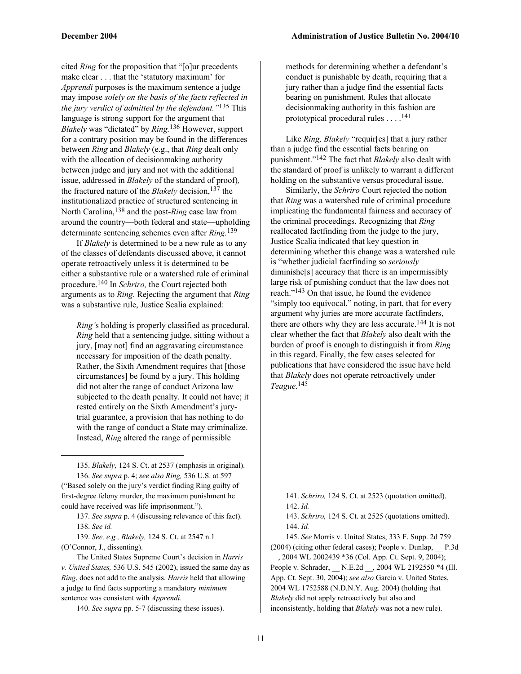cited *Ring* for the proposition that "[o]ur precedents make clear . . . that the 'statutory maximum' for *Apprendi* purposes is the maximum sentence a judge may impose *solely on the basis of the facts reflected in the jury verdict of admitted by the defendant."*135 This language is strong support for the argument that *Blakely* was "dictated" by *Ring.*136 However, support for a contrary position may be found in the differences between *Ring* and *Blakely* (e.g., that *Ring* dealt only with the allocation of decisionmaking authority between judge and jury and not with the additional issue, addressed in *Blakely* of the standard of proof)*,*  the fractured nature of the *Blakely* decision,<sup>137</sup> the institutionalized practice of structured sentencing in North Carolina,138 and the post-*Ring* case law from around the country—both federal and state—upholding determinate sentencing schemes even after *Ring.*139

If *Blakely* is determined to be a new rule as to any of the classes of defendants discussed above, it cannot operate retroactively unless it is determined to be either a substantive rule or a watershed rule of criminal procedure.140 In *Schriro,* the Court rejected both arguments as to *Ring.* Rejecting the argument that *Ring*  was a substantive rule, Justice Scalia explained:

*Ring'*s holding is properly classified as procedural. *Ring* held that a sentencing judge, sitting without a jury, [may not] find an aggravating circumstance necessary for imposition of the death penalty. Rather, the Sixth Amendment requires that [those circumstances] be found by a jury. This holding did not alter the range of conduct Arizona law subjected to the death penalty. It could not have; it rested entirely on the Sixth Amendment's jurytrial guarantee, a provision that has nothing to do with the range of conduct a State may criminalize. Instead, *Ring* altered the range of permissible

135. *Blakely,* 124 S. Ct. at 2537 (emphasis in original). 136. *See supra* p. 4; *see also Ring,* 536 U.S. at 597 ("Based solely on the jury's verdict finding Ring guilty of first-degree felony murder, the maximum punishment he could have received was life imprisonment.").

137. *See supra* p. 4 (discussing relevance of this fact). 138. *See id.*

139. *See, e.g., Blakely,* 124 S. Ct. at 2547 n.1 (O'Connor, J., dissenting).

1

The United States Supreme Court's decision in *Harris v. United States,* 536 U.S. 545 (2002), issued the same day as *Ring*, does not add to the analysis. *Harris* held that allowing a judge to find facts supporting a mandatory *minimum*  sentence was consistent with *Apprendi.*

140. *See supra* pp. 5-7 (discussing these issues).

methods for determining whether a defendant's conduct is punishable by death, requiring that a jury rather than a judge find the essential facts bearing on punishment. Rules that allocate decisionmaking authority in this fashion are prototypical procedural rules . . . .141

Like *Ring, Blakely* "requir[es] that a jury rather than a judge find the essential facts bearing on punishment."142 The fact that *Blakely* also dealt with the standard of proof is unlikely to warrant a different holding on the substantive versus procedural issue.

Similarly, the *Schriro* Court rejected the notion that *Ring* was a watershed rule of criminal procedure implicating the fundamental fairness and accuracy of the criminal proceedings. Recognizing that *Ring*  reallocated factfinding from the judge to the jury, Justice Scalia indicated that key question in determining whether this change was a watershed rule is "whether judicial factfinding so *seriously* diminishe[s] accuracy that there is an impermissibly large risk of punishing conduct that the law does not reach."143 On that issue, he found the evidence "simply too equivocal," noting, in part, that for every argument why juries are more accurate factfinders, there are others why they are less accurate.<sup>144</sup> It is not clear whether the fact that *Blakely* also dealt with the burden of proof is enough to distinguish it from *Ring*  in this regard. Finally, the few cases selected for publications that have considered the issue have held that *Blakely* does not operate retroactively under *Teague*. 145

145. *See* Morris v. United States, 333 F. Supp. 2d 759 (2004) (citing other federal cases); People v. Dunlap, \_\_ P.3d \_\_, 2004 WL 2002439 \*36 (Col. App. Ct. Sept. 9, 2004); People v. Schrader, \_\_ N.E.2d \_\_, 2004 WL 2192550 \*4 (Ill. App. Ct. Sept. 30, 2004); *see also* Garcia v. United States, 2004 WL 1752588 (N.D.N.Y. Aug. 2004) (holding that *Blakely* did not apply retroactively but also and inconsistently, holding that *Blakely* was not a new rule).

 $\overline{a}$ 

<sup>141.</sup> *Schriro,* 124 S. Ct. at 2523 (quotation omitted). 142. *Id.*

<sup>143.</sup> *Schriro,* 124 S. Ct. at 2525 (quotations omitted). 144. *Id.*